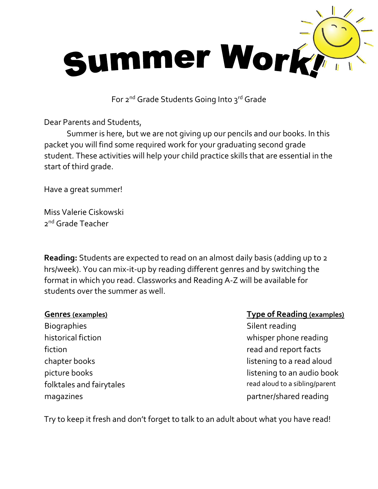

For 2<sup>nd</sup> Grade Students Going Into 3<sup>rd</sup> Grade

Dear Parents and Students,

Summer is here, but we are not giving up our pencils and our books. In this packet you will find some required work for your graduating second grade student. These activities will help your child practice skills that are essential in the start of third grade.

Have a great summer!

Miss Valerie Ciskowski 2<sup>nd</sup> Grade Teacher

**Reading:** Students are expected to read on an almost daily basis (adding up to 2 hrs/week). You can mix-it-up by reading different genres and by switching the format in which you read. Classworks and Reading A-Z will be available for students over the summer as well.

Biographies Silent reading historical fiction historical fiction fiction read and report facts

## **Genres (examples) Type of Reading (examples)**

chapter books and the chapter books area in the listening to a read aloud picture books and all the state of the listening to an audio book picture book folktales and fairytales read aloud to a sibling/parent magazines **partner/shared reading** 

Try to keep it fresh and don't forget to talk to an adult about what you have read!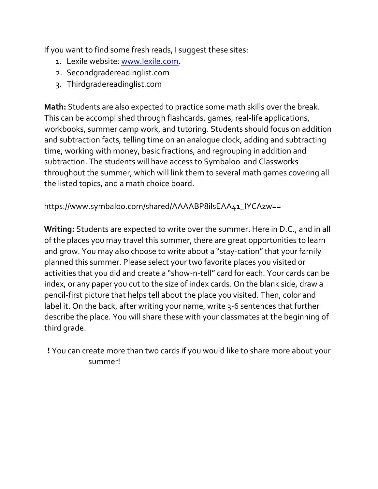If you want to find some fresh reads, I suggest these sites:

- 1. Lexile website: [www.lexile.com.](http://www.lexile.com/)
- 2. Secondgradereadinglist.com
- 3. Thirdgradereadinglist.com

**Math:** Students are also expected to practice some math skills over the break. This can be accomplished through flashcards, games, real-life applications, workbooks, summer camp work, and tutoring. Students should focus on addition and subtraction facts, telling time on an analogue clock, adding and subtracting time, working with money, basic fractions, and regrouping in addition and subtraction. The students will have access to Symbaloo and Classworks throughout the summer, which will link them to several math games covering all the listed topics, and a math choice board.

https://www.symbaloo.com/shared/AAAABP8ilsEAA41\_lYCAzw==

**Writing:** Students are expected to write over the summer. Here in D.C., and in all of the places you may travel this summer, there are great opportunities to learn and grow. You may also choose to write about a "stay-cation" that your family planned this summer. Please select your two favorite places you visited or activities that you did and create a "show-n-tell" card for each. Your cards can be index, or any paper you cut to the size of index cards. On the blank side, draw a pencil-first picture that helps tell about the place you visited. Then, color and label it. On the back, after writing your name, write 3-6 sentences that further describe the place. You will share these with your classmates at the beginning of third grade.

 **!** You can create more than two cards if you would like to share more about your summer!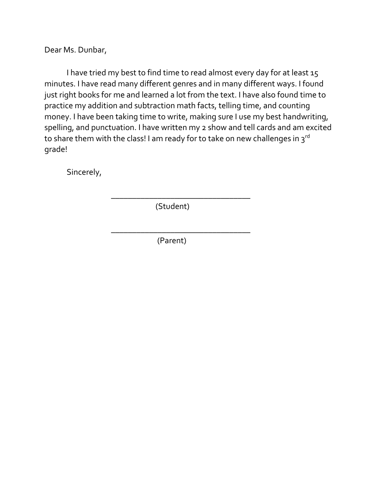Dear Ms. Dunbar,

I have tried my best to find time to read almost every day for at least 15 minutes. I have read many different genres and in many different ways. I found just right books for me and learned a lot from the text. I have also found time to practice my addition and subtraction math facts, telling time, and counting money. I have been taking time to write, making sure I use my best handwriting, spelling, and punctuation. I have written my 2 show and tell cards and am excited to share them with the class! I am ready for to take on new challenges in  $3^{rd}$ grade!

Sincerely,

(Student)

\_\_\_\_\_\_\_\_\_\_\_\_\_\_\_\_\_\_\_\_\_\_\_\_\_\_\_\_\_\_\_\_\_

\_\_\_\_\_\_\_\_\_\_\_\_\_\_\_\_\_\_\_\_\_\_\_\_\_\_\_\_\_\_\_\_\_

(Parent)